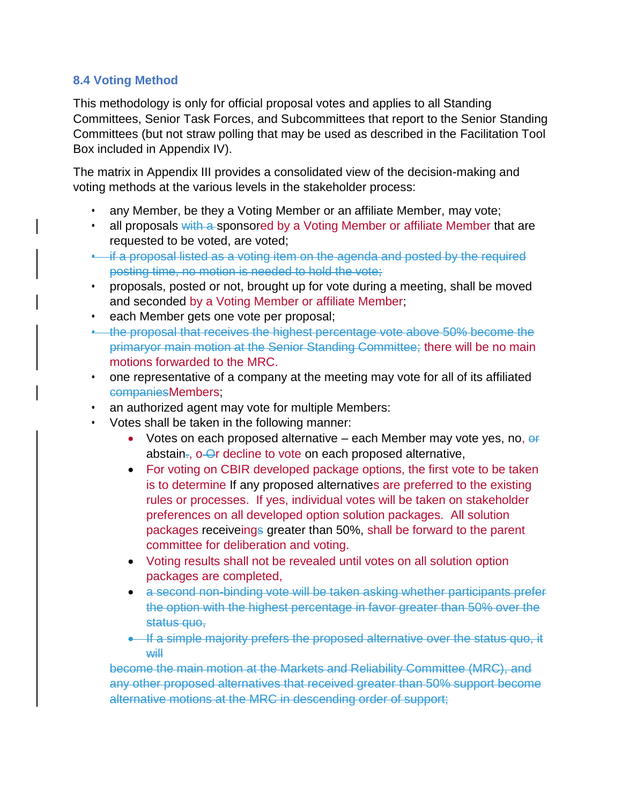## **8.4 Voting Method**

This methodology is only for official proposal votes and applies to all Standing Committees, Senior Task Forces, and Subcommittees that report to the Senior Standing Committees (but not straw polling that may be used as described in the Facilitation Tool Box included in Appendix IV).

The matrix in Appendix III provides a consolidated view of the decision-making and voting methods at the various levels in the stakeholder process:

- any Member, be they a Voting Member or an affiliate Member, may vote;
- all proposals with a sponsored by a Voting Member or affiliate Member that are requested to be voted, are voted;
- if a proposal listed as a voting item on the agenda and posted by the required posting time, no motion is needed to hold the vote;
- proposals, posted or not, brought up for vote during a meeting, shall be moved and seconded by a Voting Member or affiliate Member;
- each Member gets one vote per proposal;
- the proposal that receives the highest percentage vote above 50% become the primaryor main motion at the Senior Standing Committee; there will be no main motions forwarded to the MRC.
- one representative of a company at the meeting may vote for all of its affiliated companiesMembers;
- an authorized agent may vote for multiple Members:
- Votes shall be taken in the following manner:
	- Votes on each proposed alternative each Member may vote yes, no,  $e^{\frac{1}{2}}$ abstain-, o-Or decline to vote on each proposed alternative,
	- For voting on CBIR developed package options, the first vote to be taken is to determine If any proposed alternatives are preferred to the existing rules or processes. If yes, individual votes will be taken on stakeholder preferences on all developed option solution packages. All solution packages receiveings greater than 50%, shall be forward to the parent committee for deliberation and voting.
	- Voting results shall not be revealed until votes on all solution option packages are completed,
	- a second non-binding vote will be taken asking whether participants prefer the option with the highest percentage in favor greater than 50% over the status quo,
	- If a simple majority prefers the proposed alternative over the status quo, it will

become the main motion at the Markets and Reliability Committee (MRC), and any other proposed alternatives that received greater than 50% support become alternative motions at the MRC in descending order of support;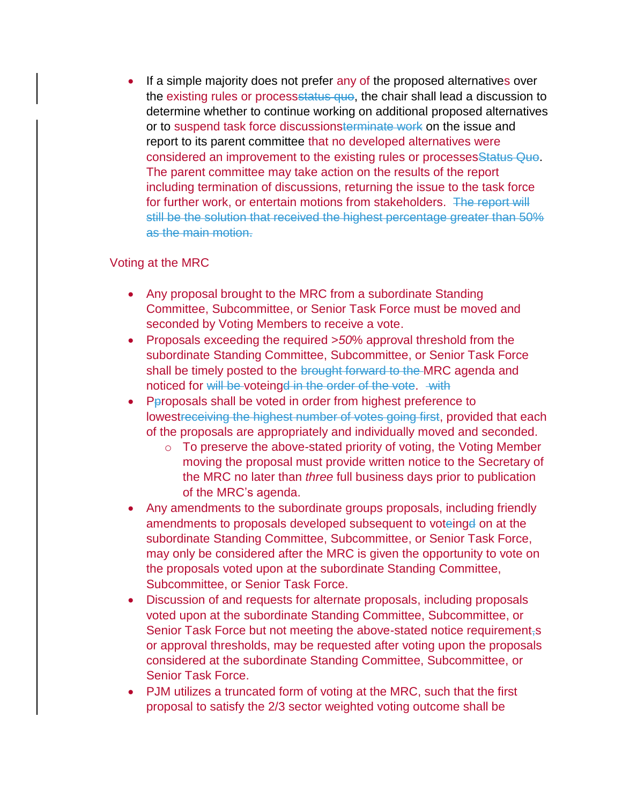• If a simple majority does not prefer any of the proposed alternatives over the existing rules or processstatus quo, the chair shall lead a discussion to determine whether to continue working on additional proposed alternatives or to suspend task force discussionsterminate work on the issue and report to its parent committee that no developed alternatives were considered an improvement to the existing rules or processesStatus Quo. The parent committee may take action on the results of the report including termination of discussions, returning the issue to the task force for further work, or entertain motions from stakeholders. The report will still be the solution that received the highest percentage greater than 50% as the main motion.

## Voting at the MRC

- Any proposal brought to the MRC from a subordinate Standing Committee, Subcommittee, or Senior Task Force must be moved and seconded by Voting Members to receive a vote.
- Proposals exceeding the required >*50*% approval threshold from the subordinate Standing Committee, Subcommittee, or Senior Task Force shall be timely posted to the brought forward to the MRC agenda and noticed for will be voteingd in the order of the vote. with
- Pproposals shall be voted in order from highest preference to lowestreceiving the highest number of votes going first, provided that each of the proposals are appropriately and individually moved and seconded.
	- $\circ$  To preserve the above-stated priority of voting, the Voting Member moving the proposal must provide written notice to the Secretary of the MRC no later than *three* full business days prior to publication of the MRC's agenda.
- Any amendments to the subordinate groups proposals, including friendly amendments to proposals developed subsequent to voteinge on at the subordinate Standing Committee, Subcommittee, or Senior Task Force, may only be considered after the MRC is given the opportunity to vote on the proposals voted upon at the subordinate Standing Committee, Subcommittee, or Senior Task Force.
- Discussion of and requests for alternate proposals, including proposals voted upon at the subordinate Standing Committee, Subcommittee, or Senior Task Force but not meeting the above-stated notice requirement-s or approval thresholds, may be requested after voting upon the proposals considered at the subordinate Standing Committee, Subcommittee, or Senior Task Force.
- PJM utilizes a truncated form of voting at the MRC, such that the first proposal to satisfy the 2/3 sector weighted voting outcome shall be